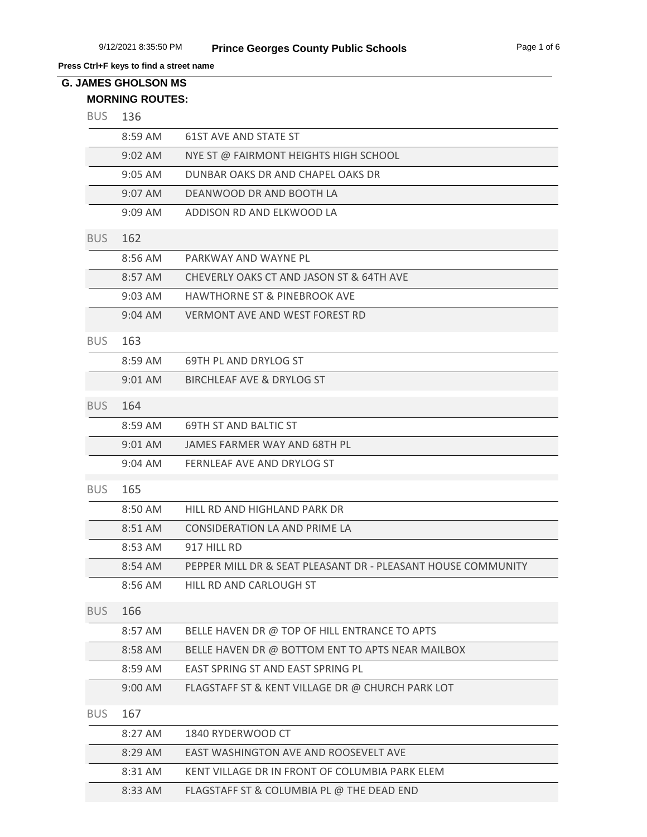# **MORNING ROUTES: G. JAMES GHOLSON MS**

| <b>BUS</b> | 136       |                                                              |
|------------|-----------|--------------------------------------------------------------|
|            | 8:59 AM   | <b>61ST AVE AND STATE ST</b>                                 |
|            | 9:02 AM   | NYE ST @ FAIRMONT HEIGHTS HIGH SCHOOL                        |
|            | 9:05 AM   | DUNBAR OAKS DR AND CHAPEL OAKS DR                            |
|            | 9:07 AM   | DEANWOOD DR AND BOOTH LA                                     |
|            | 9:09 AM   | ADDISON RD AND ELKWOOD LA                                    |
| <b>BUS</b> | 162       |                                                              |
|            | 8:56 AM   | PARKWAY AND WAYNE PL                                         |
|            | 8:57 AM   | CHEVERLY OAKS CT AND JASON ST & 64TH AVE                     |
|            | $9:03$ AM | <b>HAWTHORNE ST &amp; PINEBROOK AVE</b>                      |
|            | 9:04 AM   | <b>VERMONT AVE AND WEST FOREST RD</b>                        |
| <b>BUS</b> | 163       |                                                              |
|            | 8:59 AM   | 69TH PL AND DRYLOG ST                                        |
|            | 9:01 AM   | BIRCHLEAF AVE & DRYLOG ST                                    |
| <b>BUS</b> | 164       |                                                              |
|            | 8:59 AM   | 69TH ST AND BALTIC ST                                        |
|            | 9:01 AM   | JAMES FARMER WAY AND 68TH PL                                 |
|            | $9:04$ AM | FERNLEAF AVE AND DRYLOG ST                                   |
| <b>BUS</b> | 165       |                                                              |
|            | 8:50 AM   | HILL RD AND HIGHLAND PARK DR                                 |
|            | 8:51 AM   | CONSIDERATION LA AND PRIME LA                                |
|            | 8:53 AM   | 917 HILL RD                                                  |
|            | 8:54 AM   | PEPPER MILL DR & SEAT PLEASANT DR - PLEASANT HOUSE COMMUNITY |
|            | 8:56 AM   | HILL RD AND CARLOUGH ST                                      |
| <b>BUS</b> | 166       |                                                              |
|            | 8:57 AM   | BELLE HAVEN DR @ TOP OF HILL ENTRANCE TO APTS                |
|            | 8:58 AM   | BELLE HAVEN DR @ BOTTOM ENT TO APTS NEAR MAILBOX             |
|            | 8:59 AM   | EAST SPRING ST AND EAST SPRING PL                            |
|            | 9:00 AM   | FLAGSTAFF ST & KENT VILLAGE DR @ CHURCH PARK LOT             |
| <b>BUS</b> | 167       |                                                              |
|            | 8:27 AM   | 1840 RYDERWOOD CT                                            |
|            | 8:29 AM   | EAST WASHINGTON AVE AND ROOSEVELT AVE                        |
|            | 8:31 AM   | KENT VILLAGE DR IN FRONT OF COLUMBIA PARK ELEM               |
|            | 8:33 AM   | FLAGSTAFF ST & COLUMBIA PL @ THE DEAD END                    |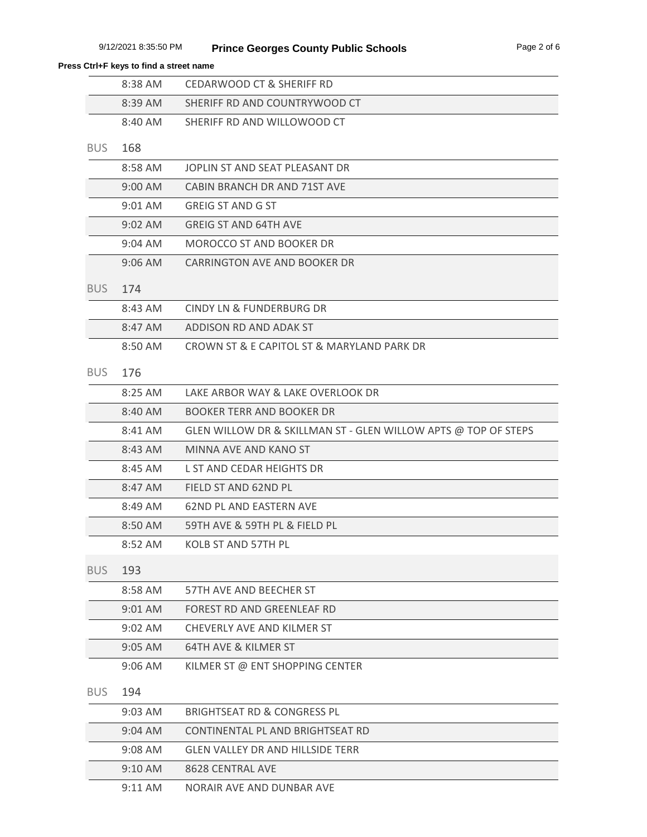|            | 8:38 AM   | <b>CEDARWOOD CT &amp; SHERIFF RD</b>                           |
|------------|-----------|----------------------------------------------------------------|
|            | 8:39 AM   | SHERIFF RD AND COUNTRYWOOD CT                                  |
|            | 8:40 AM   | SHERIFF RD AND WILLOWOOD CT                                    |
| <b>BUS</b> | 168       |                                                                |
|            | 8:58 AM   | JOPLIN ST AND SEAT PLEASANT DR                                 |
|            | 9:00 AM   | CABIN BRANCH DR AND 71ST AVE                                   |
|            | 9:01 AM   | <b>GREIG ST AND G ST</b>                                       |
|            | 9:02 AM   | <b>GREIG ST AND 64TH AVE</b>                                   |
|            | 9:04 AM   | <b>MOROCCO ST AND BOOKER DR</b>                                |
|            | $9:06$ AM | CARRINGTON AVE AND BOOKER DR                                   |
| <b>BUS</b> | 174       |                                                                |
|            | 8:43 AM   | CINDY LN & FUNDERBURG DR                                       |
|            | 8:47 AM   | ADDISON RD AND ADAK ST                                         |
|            | 8:50 AM   | CROWN ST & E CAPITOL ST & MARYLAND PARK DR                     |
| <b>BUS</b> | 176       |                                                                |
|            | 8:25 AM   | LAKE ARBOR WAY & LAKE OVERLOOK DR                              |
|            | 8:40 AM   | <b>BOOKER TERR AND BOOKER DR</b>                               |
|            | 8:41 AM   | GLEN WILLOW DR & SKILLMAN ST - GLEN WILLOW APTS @ TOP OF STEPS |
|            | 8:43 AM   | MINNA AVE AND KANO ST                                          |
|            | 8:45 AM   | L ST AND CEDAR HEIGHTS DR                                      |
|            | 8:47 AM   | FIELD ST AND 62ND PL                                           |
|            | 8:49 AM   | <b>62ND PL AND EASTERN AVE</b>                                 |
|            | 8:50 AM   | 59TH AVE & 59TH PL & FIELD PL                                  |
|            | 8:52 AM   | <b>KOLB ST AND 57TH PL</b>                                     |
| <b>BUS</b> | 193       |                                                                |
|            | 8:58 AM   | 57TH AVE AND BEECHER ST                                        |
|            | 9:01 AM   | FOREST RD AND GREENLEAF RD                                     |
|            | 9:02 AM   | CHEVERLY AVE AND KILMER ST                                     |
|            | $9:05$ AM | 64TH AVE & KILMER ST                                           |
|            | $9:06$ AM | KILMER ST @ ENT SHOPPING CENTER                                |
| <b>BUS</b> | 194       |                                                                |
|            | 9:03 AM   | <b>BRIGHTSEAT RD &amp; CONGRESS PL</b>                         |
|            | 9:04 AM   | CONTINENTAL PL AND BRIGHTSEAT RD                               |
|            | $9:08$ AM | <b>GLEN VALLEY DR AND HILLSIDE TERR</b>                        |
|            | 9:10 AM   | 8628 CENTRAL AVE                                               |
|            | 9:11 AM   | NORAIR AVE AND DUNBAR AVE                                      |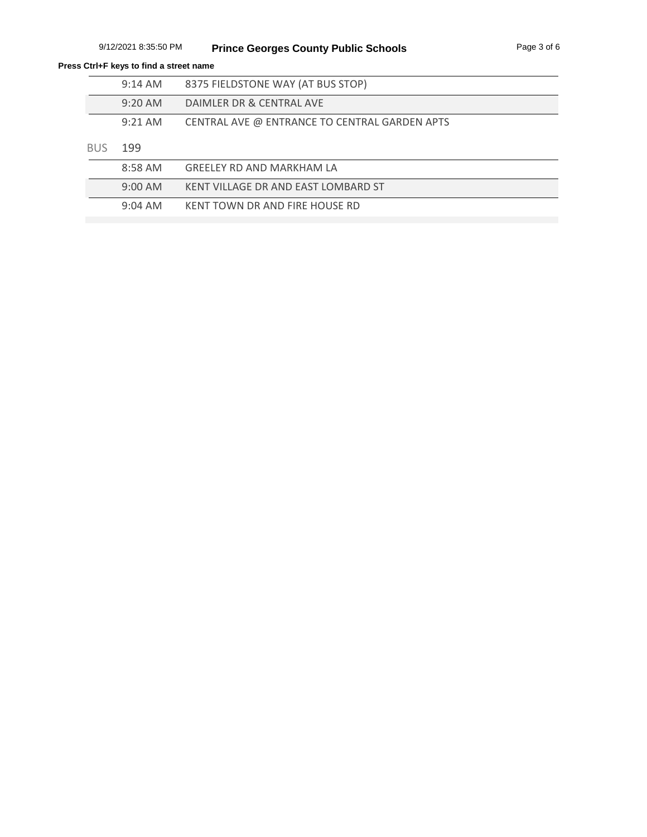|      | $9:14$ AM | 8375 FIELDSTONE WAY (AT BUS STOP)             |
|------|-----------|-----------------------------------------------|
|      | $9:20$ AM | DAIMLER DR & CENTRAL AVE                      |
|      | $9:21$ AM | CENTRAL AVE @ ENTRANCE TO CENTRAL GARDEN APTS |
| BUS. | 199       |                                               |
|      | 8:58 AM   | GREELEY RD AND MARKHAM LA                     |
|      | 0.00AA    | VENIT VILLACE DD AND EACT LOMBADD CT          |

| 9:00 AM   | KENT VILLAGE DR AND EAST LOMBARD ST |
|-----------|-------------------------------------|
| $9:04$ AM | KENT TOWN DR AND FIRE HOUSE RD      |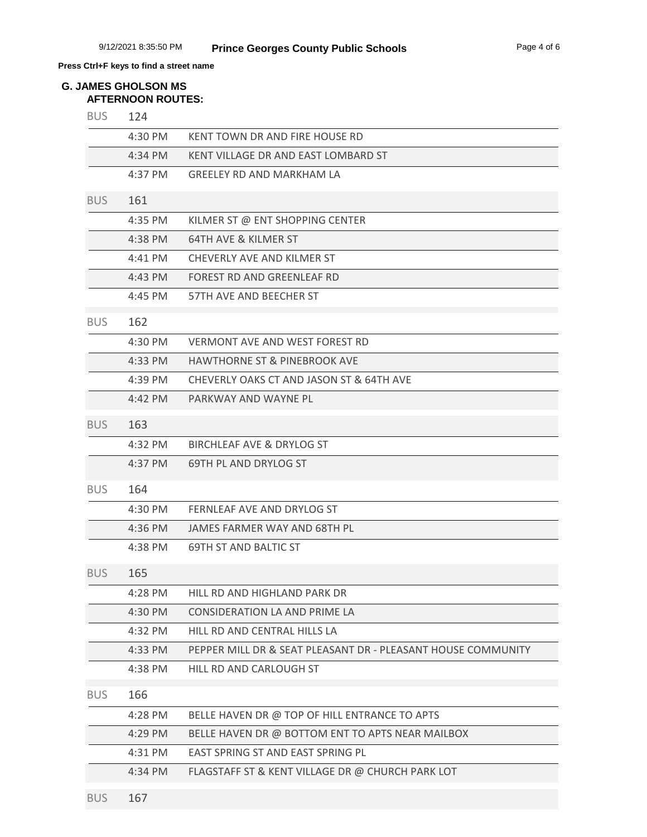#### **AFTERNOON ROUTES: G. JAMES GHOLSON MS**

| <b>BUS</b> | 124                 |                                                              |
|------------|---------------------|--------------------------------------------------------------|
|            | 4:30 PM             | KENT TOWN DR AND FIRE HOUSE RD                               |
|            | 4:34 PM             | KENT VILLAGE DR AND EAST LOMBARD ST                          |
|            | 4:37 PM             | GREELEY RD AND MARKHAM LA                                    |
| <b>BUS</b> | 161                 |                                                              |
|            | 4:35 PM             | KILMER ST @ ENT SHOPPING CENTER                              |
|            | 4:38 PM             | <b>64TH AVE &amp; KILMER ST</b>                              |
|            | $4:41 \, \text{PM}$ | CHEVERLY AVE AND KILMER ST                                   |
|            | 4:43 PM             | FOREST RD AND GREENLEAF RD                                   |
|            | 4:45 PM             | 57TH AVE AND BEECHER ST                                      |
| <b>BUS</b> | 162                 |                                                              |
|            | 4:30 PM             | <b>VERMONT AVE AND WEST FOREST RD</b>                        |
|            | 4:33 PM             | <b>HAWTHORNE ST &amp; PINEBROOK AVE</b>                      |
|            | 4:39 PM             | CHEVERLY OAKS CT AND JASON ST & 64TH AVE                     |
|            | 4:42 PM             | PARKWAY AND WAYNE PL                                         |
| <b>BUS</b> | 163                 |                                                              |
|            | 4:32 PM             | <b>BIRCHLEAF AVE &amp; DRYLOG ST</b>                         |
|            | 4:37 PM             | 69TH PL AND DRYLOG ST                                        |
| <b>BUS</b> | 164                 |                                                              |
|            | 4:30 PM             | FERNLEAF AVE AND DRYLOG ST                                   |
|            | 4:36 PM             | JAMES FARMER WAY AND 68TH PL                                 |
|            | 4:38 PM             | <b>69TH ST AND BALTIC ST</b>                                 |
| <b>BUS</b> | 165                 |                                                              |
|            | 4:28 PM             | HILL RD AND HIGHLAND PARK DR                                 |
|            | 4:30 PM             | CONSIDERATION LA AND PRIME LA                                |
|            | 4:32 PM             | HILL RD AND CENTRAL HILLS LA                                 |
|            | 4:33 PM             | PEPPER MILL DR & SEAT PLEASANT DR - PLEASANT HOUSE COMMUNITY |
|            | 4:38 PM             | HILL RD AND CARLOUGH ST                                      |
| <b>BUS</b> | 166                 |                                                              |
|            | 4:28 PM             | BELLE HAVEN DR @ TOP OF HILL ENTRANCE TO APTS                |
|            | 4:29 PM             | BELLE HAVEN DR @ BOTTOM ENT TO APTS NEAR MAILBOX             |
|            | 4:31 PM             | EAST SPRING ST AND EAST SPRING PL                            |
|            | 4:34 PM             | FLAGSTAFF ST & KENT VILLAGE DR @ CHURCH PARK LOT             |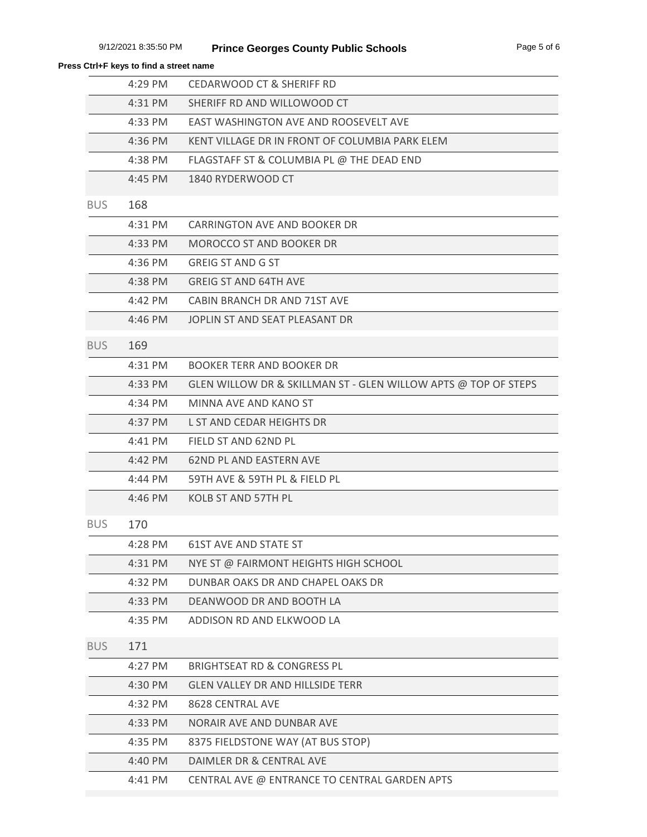| Press Ctrl+F keys to find a street name |  |  |  |  |
|-----------------------------------------|--|--|--|--|
|-----------------------------------------|--|--|--|--|

|            | 4:29 PM           | <b>CEDARWOOD CT &amp; SHERIFF RD</b>                           |
|------------|-------------------|----------------------------------------------------------------|
|            | 4:31 PM           | SHERIFF RD AND WILLOWOOD CT                                    |
|            | 4:33 PM           | EAST WASHINGTON AVE AND ROOSEVELT AVE                          |
|            | 4:36 PM           | KENT VILLAGE DR IN FRONT OF COLUMBIA PARK ELEM                 |
|            | 4:38 PM           | FLAGSTAFF ST & COLUMBIA PL @ THE DEAD END                      |
|            | 4:45 PM           | 1840 RYDERWOOD CT                                              |
| <b>BUS</b> | 168               |                                                                |
|            | 4:31 PM           | CARRINGTON AVE AND BOOKER DR                                   |
|            | 4:33 PM           | MOROCCO ST AND BOOKER DR                                       |
|            | 4:36 PM           | <b>GREIG ST AND G ST</b>                                       |
|            | 4:38 PM           | <b>GREIG ST AND 64TH AVE</b>                                   |
|            | 4:42 PM           | CABIN BRANCH DR AND 71ST AVE                                   |
|            | $4:46 \text{ PM}$ | JOPLIN ST AND SEAT PLEASANT DR                                 |
| <b>BUS</b> | 169               |                                                                |
|            | 4:31 PM           | <b>BOOKER TERR AND BOOKER DR</b>                               |
|            | 4:33 PM           | GLEN WILLOW DR & SKILLMAN ST - GLEN WILLOW APTS @ TOP OF STEPS |
|            | 4:34 PM           | MINNA AVE AND KANO ST                                          |
|            | 4:37 PM           | L ST AND CEDAR HEIGHTS DR                                      |
|            | 4:41 PM           | FIELD ST AND 62ND PL                                           |
|            | 4:42 PM           | <b>62ND PL AND EASTERN AVE</b>                                 |
|            | 4:44 PM           | 59TH AVE & 59TH PL & FIELD PL                                  |
|            | 4:46 PM           | KOLB ST AND 57TH PL                                            |
| <b>BUS</b> | 170               |                                                                |
|            | 4:28 PM           | 61ST AVE AND STATE ST                                          |
|            | 4:31 PM           | NYE ST @ FAIRMONT HEIGHTS HIGH SCHOOL                          |
|            | 4:32 PM           | DUNBAR OAKS DR AND CHAPEL OAKS DR                              |
|            | 4:33 PM           | DEANWOOD DR AND BOOTH LA                                       |
|            | 4:35 PM           | ADDISON RD AND ELKWOOD LA                                      |
| <b>BUS</b> | 171               |                                                                |
|            | 4:27 PM           | <b>BRIGHTSEAT RD &amp; CONGRESS PL</b>                         |
|            | 4:30 PM           | <b>GLEN VALLEY DR AND HILLSIDE TERR</b>                        |
|            | 4:32 PM           | 8628 CENTRAL AVE                                               |
|            | 4:33 PM           | NORAIR AVE AND DUNBAR AVE                                      |
|            | 4:35 PM           | 8375 FIELDSTONE WAY (AT BUS STOP)                              |
|            | 4:40 PM           | DAIMLER DR & CENTRAL AVE                                       |
|            | 4:41 PM           | CENTRAL AVE @ ENTRANCE TO CENTRAL GARDEN APTS                  |